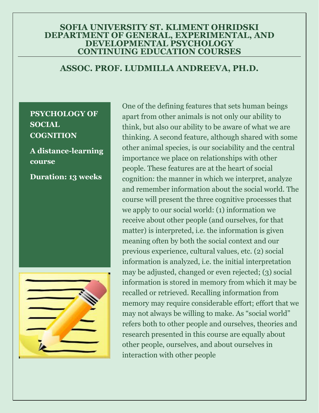### **SOFIA UNIVERSITY ST. KLIMENT OHRIDSKI DEPARTMENT OF GENERAL, EXPERIMENTAL, AND DEVELOPMENTAL PSYCHOLOGY CONTINUING EDUCATION COURSES**

# **ASSOC. PROF. LUDMILLA ANDREEVA, PH.D.**

## **PSYCHOLOGY OF SOCIAL COGNITION**

# **A distance-learning course**

**Duration: 13 weeks**



One of the defining features that sets human beings apart from other animals is not only our ability to think, but also our ability to be aware of what we are thinking. A second feature, although shared with some other animal species, is our sociability and the central importance we place on relationships with other people. These features are at the heart of social cognition: the manner in which we interpret, analyze and remember information about the social world. The course will present the three cognitive processes that we apply to our social world: (1) information we receive about other people (and ourselves, for that matter) is interpreted, i.e. the information is given meaning often by both the social context and our previous experience, cultural values, etc. (2) social information is analyzed, i.e. the initial interpretation may be adjusted, changed or even rejected; (3) social information is stored in memory from which it may be recalled or retrieved. Recalling information from memory may require considerable effort; effort that we may not always be willing to make. As "social world" refers both to other people and ourselves, theories and research presented in this course are equally about other people, ourselves, and about ourselves in interaction with other people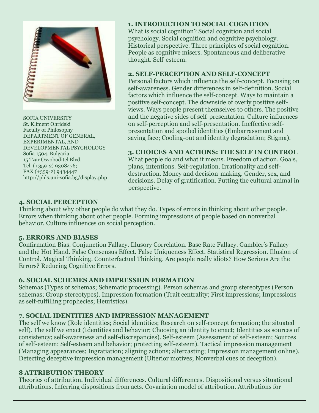

SOFIA UNIVERSITY St. Kliment Ohridski Faculty of Philosophy DEPARTMENT OF GENERAL, EXPERIMENTAL, AND DEVELOPMENTAL PSYCHOLOGY Sofia 1504, Bulgaria 15 Tzar Osvoboditel Blvd. Tel. (+359-2) 9308476; FAX (+359-2) 9434447 http://phls.uni-sofia.bg/display.php

### **1. INTRODUCTION TO SOCIAL COGNITION**

What is social cognition? Social cognition and social psychology. Social cognition and cognitive psychology. Historical perspective. Three principles of social cognition. People as cognitive misers. Spontaneous and deliberative thought. Self-esteem.

#### **2. SELF-PERCEPTION AND SELF-CONCEPT**

Personal factors which influence the self-concept. Focusing on self-awareness. Gender differences in self-definition. Social factors which influence the self-concept. Ways to maintain a positive self-concept. The downside of overly positive selfviews. Ways people present themselves to others. The positive and the negative sides of self-presentation. Culture influences on self-perception and self-presentation. Ineffective selfpresentation and spoiled identities (Embarrassment and saving face; Cooling-out and identity degradation; Stigma).

#### **3. CHOICES AND ACTIONS: THE SELF IN CONTROL**

What people do and what it means. Freedom of action. Goals, plans, intentions. Self-regulation. Irrationality and selfdestruction. Money and decision-making. Gender, sex, and decisions. Delay of gratification. Putting the cultural animal in perspective.

#### **4. SOCIAL PERCEPTION**

Thinking about why other people do what they do. Types of errors in thinking about other people. Errors when thinking about other people. Forming impressions of people based on nonverbal behavior. Culture influences on social perception.

#### **5. ERRORS AND BIASES**

Confirmation Bias. Conjunction Fallacy. Illusory Correlation. Base Rate Fallacy. Gambler's Fallacy and the Hot Hand. False Consensus Effect. False Uniqueness Effect. Statistical Regression. Illusion of Control. Magical Thinking. Counterfactual Thinking. Are people really idiots? How Serious Are the Errors? Reducing Cognitive Errors.

#### **6. SOCIAL SCHEMES AND IMPRESSION FORMATION**

Schemas (Types of schemas; Schematic processing). Person schemas and group stereotypes (Person schemas; Group stereotypes). Impression formation (Trait centrality; First impressions; Impressions as self-fulfilling prophecies; Heuristics).

#### **7. SOCIAL IDENTITIES AND IMPRESSION MANAGEMENT**

The self we know (Role identities; Social identities; Research on self-concept formation; the situated self). The self we enact (Identities and behavior; Choosing an identity to enact; Identities as sources of consistency; self-awareness and self-discrepancies). Self-esteem (Assessment of self-esteem; Sources of self-esteem; Self-esteem and behavior; protecting self-esteem). Tactical impression management (Managing appearances; Ingratiation; aligning actions; altercasting; Impression management online). Detecting deceptive impression management (Ulterior motives; Nonverbal cues of deception).

#### **8 ATTRIBUTION THEORY**

Theories of attribution. Individual differences. Cultural differences. Dispositional versus situational attributions. Inferring dispositions from acts. Covariation model of attribution. Attributions for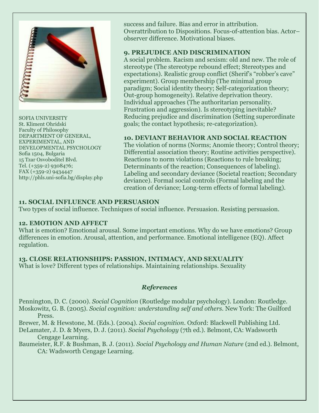

SOFIA UNIVERSITY St. Kliment Ohridski Faculty of Philosophy DEPARTMENT OF GENERAL, EXPERIMENTAL, AND DEVELOPMENTAL PSYCHOLOGY Sofia 1504, Bulgaria 15 Tzar Osvoboditel Blvd. Tel. (+359-2) 9308476; FAX (+359-2) 9434447 http://phls.uni-sofia.bg/display.php success and failure. Bias and error in attribution. Overattribution to Dispositions. Focus-of-attention bias. Actor– observer difference. Motivational biases.

#### **9. PREJUDICE AND DISCRIMINATION**

A social problem. Racism and sexism: old and new. The role of stereotype (The stereotype rebound effect; Stereotypes and expectations). Realistic group conflict (Sherif's "robber's cave" experiment). Group membership (The minimal group paradigm; Social identity theory; Self-categorization theory; Out-group homogeneity). Relative deprivation theory. Individual approaches (The authoritarian personality. Frustration and aggression). Is stereotyping inevitable? Reducing prejudice and discrimination (Setting superordinate goals; the contact hypothesis; re-categorization).

#### **10. DEVIANT BEHAVIOR AND SOCIAL REACTION**

The violation of norms (Norms; Anomie theory; Control theory; Differential association theory; Routine activities perspective). Reactions to norm violations (Reactions to rule breaking; Determinants of the reaction; Consequences of labeling). Labeling and secondary deviance (Societal reaction; Secondary deviance). Formal social controls (Formal labeling and the creation of deviance; Long-term effects of formal labeling).

#### **11. SOCIAL INFLUENCE AND PERSUASION**

Two types of social influence. Techniques of social influence. Persuasion. Resisting persuasion.

#### **12. EMOTION AND AFFECT**

What is emotion? Emotional arousal. Some important emotions. Why do we have emotions? Group differences in emotion. Arousal, attention, and performance. Emotional intelligence (EQ). Affect regulation.

**13. CLOSE RELATIONSHIPS: PASSION, INTIMACY, AND SEXUALITY** What is love? Different types of relationships. Maintaining relationships. Sexuality

#### *References*

Pennington, D. C. (2000). *Social Cognition* (Routledge modular psychology). London: Routledge. Moskowitz, G. B. (2005). *Social cognition: understanding self and others.* New York: The Guilford Press.

Brewer, M. & Hewstone, M. (Eds.). (2004). *Social cognition*. Oxford: Blackwell Publishing Ltd.

DeLamater, J. D. & Myers, D. J. (2011). *Social Psychology* (7th ed.). Belmont, CA: Wadsworth Cengage Learning.

Baumeister, R.F. & Bushman, B. J. (2011). *Social Psychology and Human Nature* (2nd ed.). Belmont, CA: Wadsworth Cengage Learning.